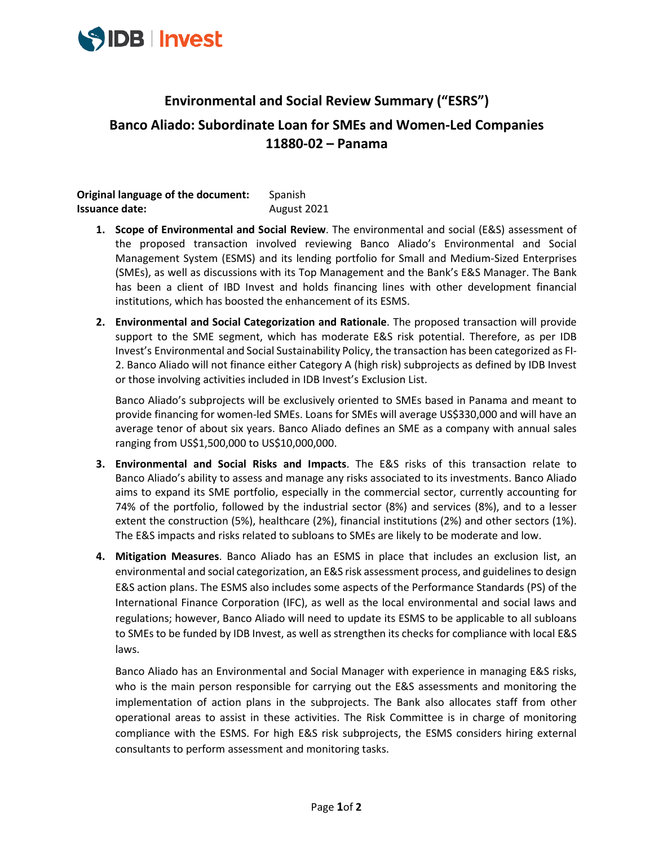

## **Environmental and Social Review Summary ("ESRS")**

## **Banco Aliado: Subordinate Loan for SMEs and Women-Led Companies 11880-02 – Panama**

**Original language of the document:** Spanish **Issuance date:** August 2021

- **1. Scope of Environmental and Social Review**. The environmental and social (E&S) assessment of the proposed transaction involved reviewing Banco Aliado's Environmental and Social Management System (ESMS) and its lending portfolio for Small and Medium-Sized Enterprises (SMEs), as well as discussions with its Top Management and the Bank's E&S Manager. The Bank has been a client of IBD Invest and holds financing lines with other development financial institutions, which has boosted the enhancement of its ESMS.
- **2. Environmental and Social Categorization and Rationale**. The proposed transaction will provide support to the SME segment, which has moderate E&S risk potential. Therefore, as per IDB Invest's Environmental and Social Sustainability Policy, the transaction has been categorized as FI-2. Banco Aliado will not finance either Category A (high risk) subprojects as defined by IDB Invest or those involving activities included in IDB Invest's Exclusion List.

Banco Aliado's subprojects will be exclusively oriented to SMEs based in Panama and meant to provide financing for women-led SMEs. Loans for SMEs will average US\$330,000 and will have an average tenor of about six years. Banco Aliado defines an SME as a company with annual sales ranging from US\$1,500,000 to US\$10,000,000.

- **3. Environmental and Social Risks and Impacts**. The E&S risks of this transaction relate to Banco Aliado's ability to assess and manage any risks associated to its investments. Banco Aliado aims to expand its SME portfolio, especially in the commercial sector, currently accounting for 74% of the portfolio, followed by the industrial sector (8%) and services (8%), and to a lesser extent the construction (5%), healthcare (2%), financial institutions (2%) and other sectors (1%). The E&S impacts and risks related to subloans to SMEs are likely to be moderate and low.
- **4. Mitigation Measures**. Banco Aliado has an ESMS in place that includes an exclusion list, an environmental and social categorization, an E&S risk assessment process, and guidelines to design E&S action plans. The ESMS also includes some aspects of the Performance Standards (PS) of the International Finance Corporation (IFC), as well as the local environmental and social laws and regulations; however, Banco Aliado will need to update its ESMS to be applicable to all subloans to SMEs to be funded by IDB Invest, as well as strengthen its checks for compliance with local E&S laws.

Banco Aliado has an Environmental and Social Manager with experience in managing E&S risks, who is the main person responsible for carrying out the E&S assessments and monitoring the implementation of action plans in the subprojects. The Bank also allocates staff from other operational areas to assist in these activities. The Risk Committee is in charge of monitoring compliance with the ESMS. For high E&S risk subprojects, the ESMS considers hiring external consultants to perform assessment and monitoring tasks.